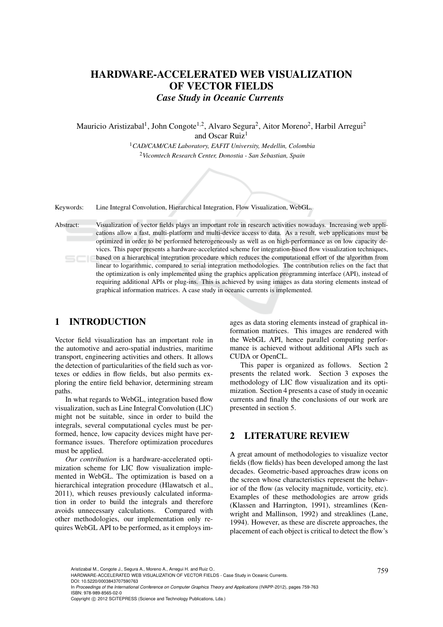# HARDWARE-ACCELERATED WEB VISUALIZATION OF VECTOR FIELDS *Case Study in Oceanic Currents*

Mauricio Aristizabal<sup>1</sup>, John Congote<sup>1,2</sup>, Alvaro Segura<sup>2</sup>, Aitor Moreno<sup>2</sup>, Harbil Arregui<sup>2</sup> and Oscar Ruiz<sup>1</sup>

> <sup>1</sup>*CAD/CAM/CAE Laboratory, EAFIT University, Medellin, Colombia* <sup>2</sup>*Vicomtech Research Center, Donostia - San Sebastian, Spain*

Keywords: Line Integral Convolution, Hierarchical Integration, Flow Visualization, WebGL.

Abstract: Visualization of vector fields plays an important role in research activities nowadays. Increasing web applications allow a fast, multi-platform and multi-device access to data. As a result, web applications must be optimized in order to be performed heterogeneously as well as on high-performance as on low capacity devices. This paper presents a hardware-accelerated scheme for integration-based flow visualization techniques, based on a hierarchical integration procedure which reduces the computational effort of the algorithm from linear to logarithmic, compared to serial integration methodologies. The contribution relies on the fact that the optimization is only implemented using the graphics application programming interface (API), instead of requiring additional APIs or plug-ins. This is achieved by using images as data storing elements instead of graphical information matrices. A case study in oceanic currents is implemented.

# 1 INTRODUCTION

Vector field visualization has an important role in the automotive and aero-spatial industries, maritime transport, engineering activities and others. It allows the detection of particularities of the field such as vortexes or eddies in flow fields, but also permits exploring the entire field behavior, determining stream paths.

In what regards to WebGL, integration based flow visualization, such as Line Integral Convolution (LIC) might not be suitable, since in order to build the integrals, several computational cycles must be performed, hence, low capacity devices might have performance issues. Therefore optimization procedures must be applied.

*Our contribution* is a hardware-accelerated optimization scheme for LIC flow visualization implemented in WebGL. The optimization is based on a hierarchical integration procedure (Hlawatsch et al., 2011), which reuses previously calculated information in order to build the integrals and therefore avoids unnecessary calculations. Compared with other methodologies, our implementation only requires WebGL API to be performed, as it employs im-

ages as data storing elements instead of graphical information matrices. This images are rendered with the WebGL API, hence parallel computing performance is achieved without additional APIs such as CUDA or OpenCL.

This paper is organized as follows. Section 2 presents the related work. Section 3 exposes the methodology of LIC flow visualization and its optimization. Section 4 presents a case of study in oceanic currents and finally the conclusions of our work are presented in section 5.

### 2 LITERATURE REVIEW

A great amount of methodologies to visualize vector fields (flow fields) has been developed among the last decades. Geometric-based approaches draw icons on the screen whose characteristics represent the behavior of the flow (as velocity magnitude, vorticity, etc). Examples of these methodologies are arrow grids (Klassen and Harrington, 1991), streamlines (Kenwright and Mallinson, 1992) and streaklines (Lane, 1994). However, as these are discrete approaches, the placement of each object is critical to detect the flow's

In *Proceedings of the International Conference on Computer Graphics Theory and Applications* (IVAPP-2012), pages 759-763 ISBN: 978-989-8565-02-0

Aristizabal M., Congote J., Segura A., Moreno A., Arregui H. and Ruiz O..<br>HARDWARE-ACCELERATED WEB VISUALIZATION OF VECTOR FIELDS - Case Study in Oceanic Currents. DOI: 10.5220/0003843707590763

Copyright © 2012 SCITEPRESS (Science and Technology Publications, Lda.)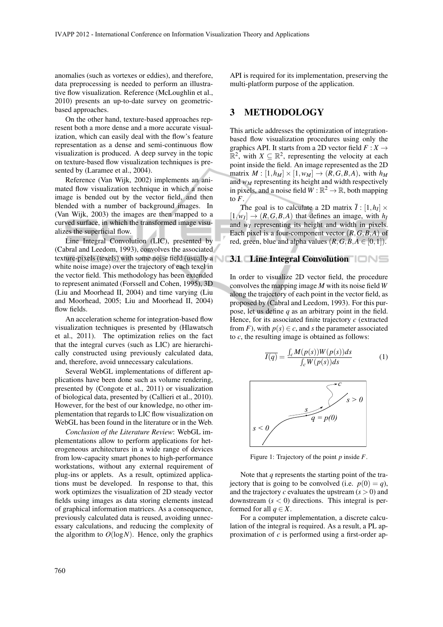anomalies (such as vortexes or eddies), and therefore, data preprocessing is needed to perform an illustrative flow visualization. Reference (McLoughlin et al., 2010) presents an up-to-date survey on geometricbased approaches.

On the other hand, texture-based approaches represent both a more dense and a more accurate visualization, which can easily deal with the flow's feature representation as a dense and semi-continuous flow visualization is produced. A deep survey in the topic on texture-based flow visualization techniques is presented by (Laramee et al., 2004).

Reference (Van Wijk, 2002) implements an animated flow visualization technique in which a noise image is bended out by the vector field, and then blended with a number of background images. In (Van Wijk, 2003) the images are then mapped to a curved surface, in which the transformed image visualizes the superficial flow.

Line Integral Convolution (LIC), presented by (Cabral and Leedom, 1993), convolves the associated texture-pixels (texels) with some noise field (usually a **3.1 Line Integral Convolution** white noise image) over the trajectory of each texel in the vector field. This methodology has been extended to represent animated (Forssell and Cohen, 1995), 3D (Liu and Moorhead II, 2004) and time varying (Liu and Moorhead, 2005; Liu and Moorhead II, 2004) flow fields.

An acceleration scheme for integration-based flow visualization techniques is presented by (Hlawatsch et al., 2011). The optimization relies on the fact that the integral curves (such as LIC) are hierarchically constructed using previously calculated data, and, therefore, avoid unnecessary calculations.

Several WebGL implementations of different applications have been done such as volume rendering, presented by (Congote et al., 2011) or visualization of biological data, presented by (Callieri et al., 2010). However, for the best of our knowledge, no other implementation that regards to LIC flow visualization on WebGL has been found in the literature or in the Web.

*Conclusion of the Literature Review*: WebGL implementations allow to perform applications for heterogeneous architectures in a wide range of devices from low-capacity smart phones to high-performance workstations, without any external requirement of plug-ins or applets. As a result, optimized applications must be developed. In response to that, this work optimizes the visualization of 2D steady vector fields using images as data storing elements instead of graphical information matrices. As a consequence, previously calculated data is reused, avoiding unnecessary calculations, and reducing the complexity of the algorithm to  $O(log N)$ . Hence, only the graphics

API is required for its implementation, preserving the multi-platform purpose of the application.

#### 3 METHODOLOGY

This article addresses the optimization of integrationbased flow visualization procedures using only the graphics API. It starts from a 2D vector field  $F: X \rightarrow$  $\mathbb{R}^2$ , with  $X \subseteq \mathbb{R}^2$ , representing the velocity at each point inside the field. An image represented as the 2D matrix  $M : [1, h_M] \times [1, w_M] \rightarrow (R, G, B, A)$ , with  $h_M$ and  $w_M$  representing its height and width respectively in pixels, and a noise field  $W : \mathbb{R}^2 \to \mathbb{R}$ , both mapping to  $F$ .

The goal is to calculate a 2D matrix  $\overline{I}$  :  $[1, h_I] \times$  $[1, w_I] \rightarrow (R, G, B, A)$  that defines an image, with  $h_I$ and  $w_I$  representing its height and width in pixels. Each pixel is a four-component vector (*R*,*G*,*B*,*A*) of red, green, blue and alpha values  $(R, G, B, A \in [0, 1])$ .

In order to visualize 2D vector field, the procedure convolves the mapping image *M* with its noise field *W* along the trajectory of each point in the vector field, as proposed by (Cabral and Leedom, 1993). For this purpose, let us define *q* as an arbitrary point in the field. Hence, for its associated finite trajectory *c* (extracted from *F*), with  $p(s) \in c$ , and *s* the parameter associated to *c*, the resulting image is obtained as follows:

$$
\overline{I(q)} = \frac{\int_{c} M(p(s)) W(p(s)) ds}{\int_{c} W(p(s)) ds}
$$
 (1)



Figure 1: Trajectory of the point *p* inside *F*.

Note that *q* represents the starting point of the trajectory that is going to be convolved (i.e.  $p(0) = q$ ), and the trajectory  $c$  evaluates the upstream  $(s > 0)$  and downstream  $(s < 0)$  directions. This integral is performed for all  $q \in X$ .

For a computer implementation, a discrete calculation of the integral is required. As a result, a PL approximation of *c* is performed using a first-order ap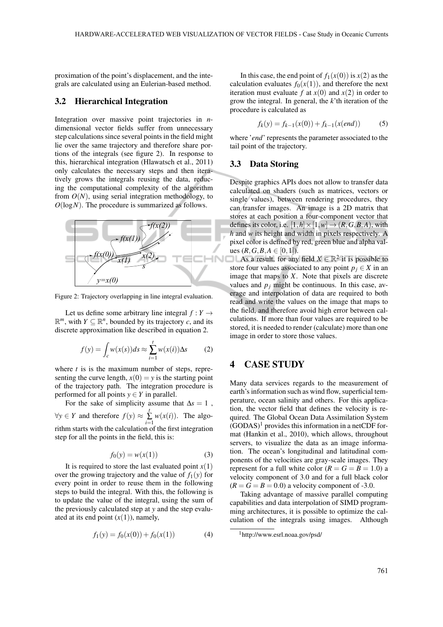proximation of the point's displacement, and the integrals are calculated using an Eulerian-based method.

#### 3.2 Hierarchical Integration

Integration over massive point trajectories in *n*dimensional vector fields suffer from unnecessary step calculations since several points in the field might lie over the same trajectory and therefore share portions of the integrals (see figure 2). In response to this, hierarchical integration (Hlawatsch et al., 2011) only calculates the necessary steps and then iteratively grows the integrals reusing the data, reducing the computational complexity of the algorithm from  $O(N)$ , using serial integration methodology, to *O*(log*N*). The procedure is summarized as follows.



Figure 2: Trajectory overlapping in line integral evaluation.

Let us define some arbitrary line integral  $f: Y \rightarrow$  $\mathbb{R}^m$ , with  $Y \subseteq \mathbb{R}^n$ , bounded by its trajectory *c*, and its discrete approximation like described in equation 2.

$$
f(y) = \int_{c} w(x(s))ds \approx \sum_{i=1}^{t} w(x(i))\Delta s
$$
 (2)

where *t* is is the maximum number of steps, representing the curve length,  $x(0) = y$  is the starting point of the trajectory path. The integration procedure is performed for all points  $y \in Y$  in parallel.

For the sake of simplicity assume that  $\Delta s = 1$ ,  $\forall y \in Y$  and therefore  $f(y) \approx \sum_{i=1}^{n}$  $\sum_{i=1} w(x(i))$ . The algorithm starts with the calculation of the first integration step for all the points in the field, this is:

$$
f_0(y) = w(x(1))
$$
 (3)

It is required to store the last evaluated point  $x(1)$ over the growing trajectory and the value of  $f_1(y)$  for every point in order to reuse them in the following steps to build the integral. With this, the following is to update the value of the integral, using the sum of the previously calculated step at *y* and the step evaluated at its end point  $(x(1))$ , namely,

$$
f_1(y) = f_0(x(0)) + f_0(x(1))
$$
 (4)

In this case, the end point of  $f_1(x(0))$  is  $x(2)$  as the calculation evaluates  $f_0(x(1))$ , and therefore the next iteration must evaluate  $f$  at  $x(0)$  and  $x(2)$  in order to grow the integral. In general, the *k*'th iteration of the procedure is calculated as

$$
f_k(y) = f_{k-1}(x(0)) + f_{k-1}(x(end))
$$
 (5)

where '*end*' represents the parameter associated to the tail point of the trajectory.

#### 3.3 Data Storing

Despite graphics APIs does not allow to transfer data calculated on shaders (such as matrices, vectors or single values), between rendering procedures, they can transfer images. An image is a 2D matrix that stores at each position a four-component vector that defines its color, i.e.  $[1,h] \times [1,w] \rightarrow (R,G,B,A)$ , with *h* and *w* its height and width in pixels respectively. A pixel color is defined by red, green blue and alpha values  $(R, G, B, A \in [0, 1]).$ 

As a result, for any field  $X \in \mathbb{R}^2$  it is possible to store four values associated to any point  $p_j \in X$  in an image that maps to *X*. Note that pixels are discrete values and  $p_j$  might be continuous. In this case, average and interpolation of data are required to both read and write the values on the image that maps to the field, and therefore avoid high error between calculations. If more than four values are required to be stored, it is needed to render (calculate) more than one image in order to store those values.

# 4 CASE STUDY

Many data services regards to the measurement of earth's information such as wind flow, superficial temperature, ocean salinity and others. For this application, the vector field that defines the velocity is required. The Global Ocean Data Assimilation System  $(GODAS)^1$  provides this information in a netCDF format (Hankin et al., 2010), which allows, throughout servers, to visualize the data as an image information. The ocean's longitudinal and latitudinal components of the velocities are gray-scale images. They represent for a full white color  $(R = G = B = 1.0)$  a velocity component of 3.0 and for a full black color  $(R = G = B = 0.0)$  a velocity component of -3.0.

Taking advantage of massive parallel computing capabilities and data interpolation of SIMD programming architectures, it is possible to optimize the calculation of the integrals using images. Although

<sup>1</sup>http://www.esrl.noaa.gov/psd/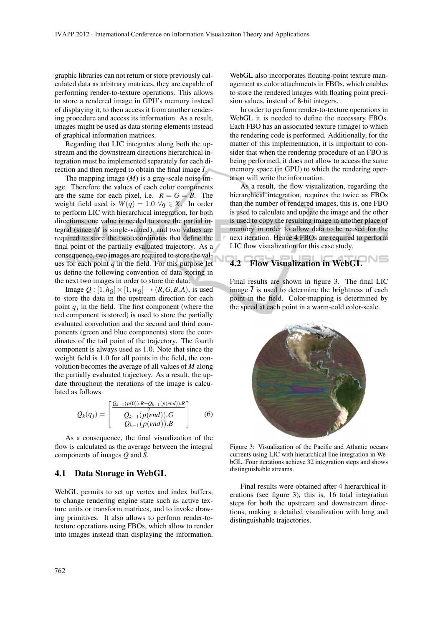graphic libraries can not return or store previously calculated data as arbitrary matrices, they are capable of performing render-to-texture operations. This allows to store a rendered image in GPU's memory instead of displaying it, to then access it from another rendering procedure and access its information. As a result, images might be used as data storing elements instead of graphical information matrices.

Regarding that LIC integrates along both the upstream and the downstream directions hierarchical integration must be implemented separately for each direction and then merged to obtain the final image *I*.

The mapping image (*M*) is a gray-scale noise image. Therefore the values of each color components are the same for each pixel, i.e.  $R = G = B$ . The weight field used is  $W(q) = 1.0 \ \forall q \in X$ . In order to perform LIC with hierarchical integration, for both directions, one value is needed to store the partial integral (since *M* is single-valued), and two values are required to store the two coordinates that define the final point of the partially evaluated trajectory. As a consequence, two images are required to store the values for each point  $q$  in the field. For this purpose let us define the following convention of data storing in the next two images in order to store the data:

Image  $Q : [1, h_Q] \times [1, w_Q] \rightarrow (R, G, B, A)$ , is used to store the data in the upstream direction for each point  $q_j$  in the field. The first component (where the red component is stored) is used to store the partially evaluated convolution and the second and third components (green and blue components) store the coordinates of the tail point of the trajectory. The fourth component is always used as 1.0. Note that since the weight field is 1.0 for all points in the field, the convolution becomes the average of all values of *M* along the partially evaluated trajectory. As a result, the update throughout the iterations of the image is calculated as follows

$$
Q_k(q_j) = \begin{bmatrix} \frac{Q_{k-1}(p(0)).R + Q_{k-1}(p(end)).R}{2} \\ Q_{k-1}(p(end)).G \\ Q_{k-1}(p(end)).B \end{bmatrix}
$$
 (6)

As a consequence, the final visualization of the flow is calculated as the average between the integral components of images *Q* and *S*.

#### 4.1 Data Storage in WebGL

WebGL permits to set up vertex and index buffers, to change rendering engine state such as active texture units or transform matrices, and to invoke drawing primitives. It also allows to perform render-totexture operations using FBOs, which allow to render into images instead than displaying the information.

WebGL also incorporates floating-point texture management as color attachments in FBOs, which enables to store the rendered images with floating point precision values, instead of 8-bit integers.

In order to perform render-to-texture operations in WebGL it is needed to define the necessary FBOs. Each FBO has an associated texture (image) to which the rendering code is performed. Additionally, for the matter of this implementation, it is important to consider that when the rendering procedure of an FBO is being performed, it does not allow to access the same memory space (in GPU) to which the rendering operation will write the information.

As a result, the flow visualization, regarding the hierarchical integration, requires the twice as FBOs than the number of rendered images, this is, one FBO is used to calculate and update the image and the other is used to copy the resulting image in another place of memory in order to allow data to be reused for the next iteration. Hence 4 FBOs are required to perform LIC flow visualization for this case study.

# 4.2 Flow Visualization in WebGL

Final results are shown in figure 3. The final LIC image  $\overline{I}$  is used to determine the brightness of each point in the field. Color-mapping is determined by the speed at each point in a warm-cold color-scale.



Figure 3: Visualization of the Pacific and Atlantic oceans currents using LIC with hierarchical line integration in WebGL. Four iterations achieve 32 integration steps and shows distinguishable streams.

Final results were obtained after 4 hierarchical iterations (see figure 3), this is, 16 total integration steps for both the upstream and downstream directions, making a detailed visualization with long and distinguishable trajectories.